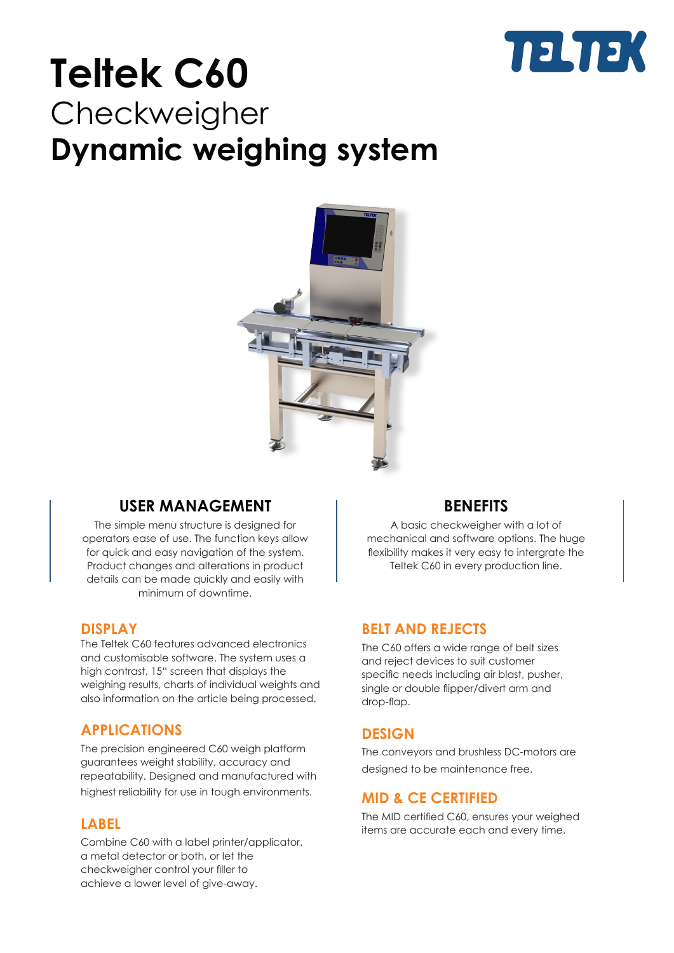

## **Teltek C60 Checkweigher Dynamic weighing system**



## **USER MANAGEMENT**

The simple menu structure is designed for operators ease of use. The function keys allow for quick and easy navigation of the system. Product changes and alterations in product details can be made quickly and easily with minimum of downtime.

### **DISPLAY**

The Teltek C60 features advanced electronics and customisable software. The system uses a high contrast, 15" screen that displays the weighing results, charts of individual weights and also information on the article being processed.

### **APPLICATIONS**

The precision engineered C60 weigh platform guarantees weight stability, accuracy and repeatability. Designed and manufactured with highest reliability for use in tough environments.

### **LABEL**

Combine C60 with a label printer/applicator, a metal detector or both, or let the checkweigher control your filler to achieve a lower level of give-away.

## **BENEFITS**

A basic checkweigher with a lot of mechanical and software options. The huge flexibility makes it very easy to intergrate the Teltek C60 in every production line.

## **BELT AND REJECTS**

The C60 offers a wide range of belt sizes and reject devices to suit customer specific needs including air blast, pusher, single or double flipper/divert arm and drop-flap.

## **DESIGN**

The conveyors and brushless DC-motors are designed to be maintenance free.

### **MID & CE CERTIFIED**

The MID certified C60, ensures your weighed items are accurate each and every time.